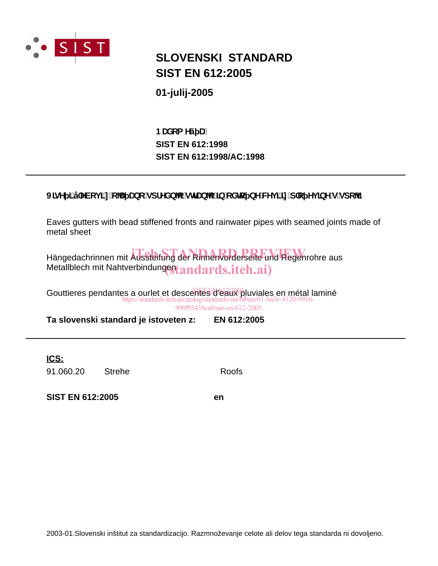

## **SLOVENSKI STANDARD SIST EN 612:2005**

01-julij-2005

BUXca Yý U. **SIST EN 612:1998** SIST EN 612:1998/AC:1998

### J]gY ]'j'YVcj]'n'c U Ubc'gdfYXb c'glfUb c']b'c Xlc bY'WYj ]']n'd'c Yj ]bY'g'gdc ']

Eaves gutters with bead stiffened fronts and rainwater pipes with seamed joints made of metal sheet

Hängedachrinnen mit Aussteifung der Rinnenvorderseite und Regenrohre aus Metallblech mit Nahtverbindungestandards.iteh.ai)

Gouttieres pendantes a ourlet et descentes d'éaux pluviales en métal laminé https://standards.iteh.ai/catalog/standards/sist/l 990f95438ca0/sist-en-612-2005

Ta slovenski standard je istoveten z: EN 612:2005

ICS:

91.060.20 **Strehe** 

**Roofs** 

**SIST EN 612:2005** 

en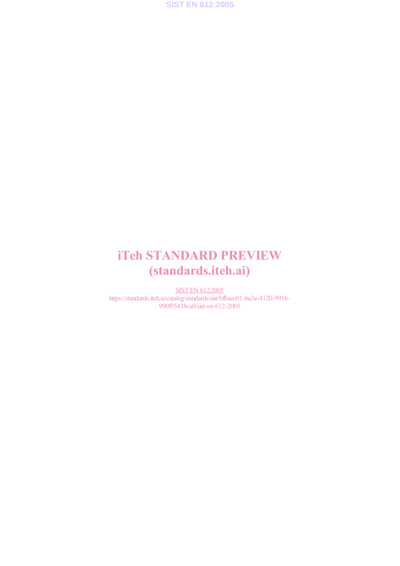

# iTeh STANDARD PREVIEW (standards.iteh.ai)

SIST EN 612:2005 https://standards.iteh.ai/catalog/standards/sist/bfbaec01-ba3e-4120-9916- 990f95438ca0/sist-en-612-2005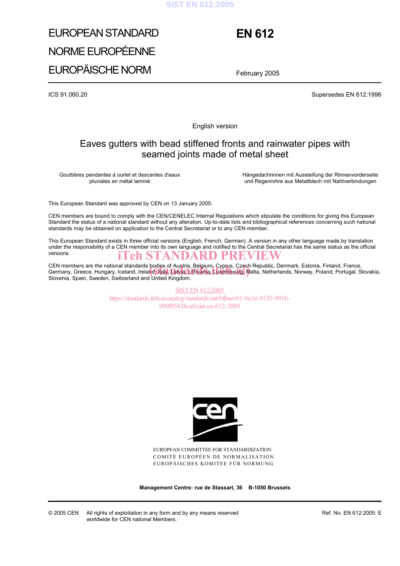#### **SIST EN 612:2005**

# EUROPEAN STANDARD NORME EUROPÉENNE EUROPÄISCHE NORM

## **EN 612**

February 2005

ICS 91.060.20 Supersedes EN 612:1996

English version

### Eaves gutters with bead stiffened fronts and rainwater pipes with seamed joints made of metal sheet

Gouttières pendantes à ourlet et descentes d'eaux pluviales en métal laminé

 Hängedachrinnen mit Aussteifung der Rinnenvorderseite und Regenrohre aus Metallblech mit Nahtverbindungen

This European Standard was approved by CEN on 13 January 2005.

CEN members are bound to comply with the CEN/CENELEC Internal Regulations which stipulate the conditions for giving this European Standard the status of a national standard without any alteration. Up-to-date lists and bibliographical references concerning such national standards may be obtained on application to the Central Secretariat or to any CEN member.

This European Standard exists in three official versions (English, French, German). A version in any other language made by translation under the responsibility of a CEN member into its own language and notified to the Central Secretariat has the same status as the official versions. iTeh STANDARD PREVIEW

CEN members are the national standards bodies of Austria, Belgium, Cyprus, Czech Republic, Denmark, Estonia, Finland, France, CEN members are the national standards bodies of Austria, Belgium, Cyprus, Czech Republic, Denmark, Estonia, Finland, France,<br>Germany, Greece, Hungary, Iceland, Ireland, Italy, Latvia, Lithuania, Luxembourg, Malta, Netherl Slovenia, Spain, Sweden, Switzerland and United Kingdom.

> SIST EN 612:2005 https://standards.iteh.ai/catalog/standards/sist/bfbaec01-ba3e-4120-9916- 990f95438ca0/sist-en-612-2005



EUROPEAN COMMITTEE FOR STANDARDIZATION COMITÉ EUROPÉEN DE NORMALISATION EUROPÄISCHES KOMITEE FÜR NORMUNG

**Management Centre: rue de Stassart, 36 B-1050 Brussels** 

© 2005 CEN All rights of exploitation in any form and by any means reserved worldwide for CEN national Members.

Ref. No. EN 612:2005: E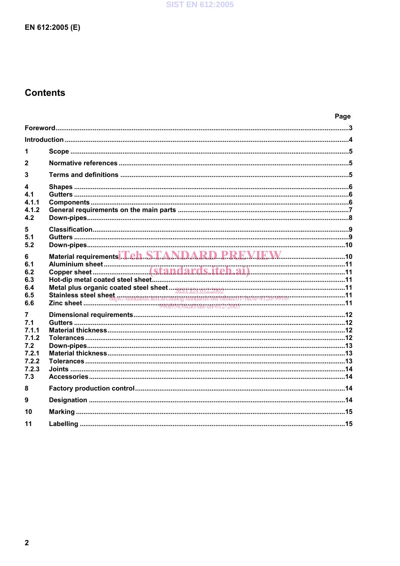### **Contents**

|                                                                   |                                             | Page |
|-------------------------------------------------------------------|---------------------------------------------|------|
|                                                                   |                                             |      |
|                                                                   |                                             |      |
| 1                                                                 |                                             |      |
| $\mathbf{2}$                                                      |                                             |      |
| 3                                                                 |                                             |      |
| 4<br>4.1<br>4.1.1<br>4.1.2<br>4.2                                 |                                             |      |
| 5<br>5.1<br>5.2                                                   |                                             |      |
| 6<br>6.1<br>6.2<br>6.3<br>6.4<br>6.5<br>6.6                       | Material requirements T.Ch.STANDARD PREVIEW |      |
| 7<br>7.1<br>711<br>7.1.2<br>7.2<br>7.2.1<br>7.2.2<br>7.2.3<br>7.3 |                                             |      |
| 8                                                                 |                                             |      |
| 9                                                                 |                                             |      |
| 10                                                                |                                             |      |
| 11                                                                |                                             |      |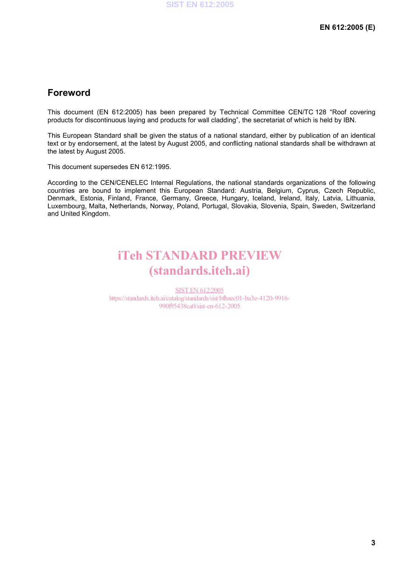### **Foreword**

This document (EN 612:2005) has been prepared by Technical Committee CEN/TC 128 "Roof covering products for discontinuous laying and products for wall cladding", the secretariat of which is held by IBN.

This European Standard shall be given the status of a national standard, either by publication of an identical text or by endorsement, at the latest by August 2005, and conflicting national standards shall be withdrawn at the latest by August 2005.

This document supersedes EN 612:1995.

According to the CEN/CENELEC Internal Regulations, the national standards organizations of the following countries are bound to implement this European Standard: Austria, Belgium, Cyprus, Czech Republic, Denmark, Estonia, Finland, France, Germany, Greece, Hungary, Iceland, Ireland, Italy, Latvia, Lithuania, Luxembourg, Malta, Netherlands, Norway, Poland, Portugal, Slovakia, Slovenia, Spain, Sweden, Switzerland and United Kingdom.

## iTeh STANDARD PREVIEW (standards.iteh.ai)

SIST EN 612:2005 https://standards.iteh.ai/catalog/standards/sist/bfbaec01-ba3e-4120-9916- 990f95438ca0/sist-en-612-2005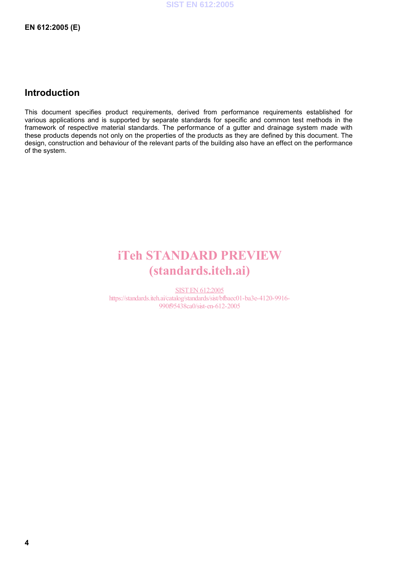### **Introduction**

This document specifies product requirements, derived from performance requirements established for various applications and is supported by separate standards for specific and common test methods in the framework of respective material standards. The performance of a gutter and drainage system made with these products depends not only on the properties of the products as they are defined by this document. The design, construction and behaviour of the relevant parts of the building also have an effect on the performance of the system.

## iTeh STANDARD PREVIEW (standards.iteh.ai)

SIST EN 612:2005 https://standards.iteh.ai/catalog/standards/sist/bfbaec01-ba3e-4120-9916- 990f95438ca0/sist-en-612-2005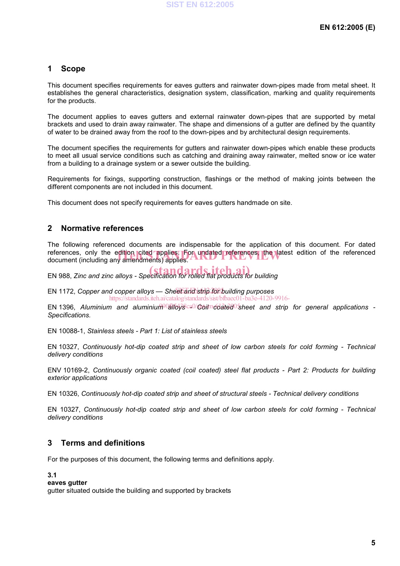#### **1 Scope**

This document specifies requirements for eaves gutters and rainwater down-pipes made from metal sheet. It establishes the general characteristics, designation system, classification, marking and quality requirements for the products.

The document applies to eaves gutters and external rainwater down-pipes that are supported by metal brackets and used to drain away rainwater. The shape and dimensions of a gutter are defined by the quantity of water to be drained away from the roof to the down-pipes and by architectural design requirements.

The document specifies the requirements for gutters and rainwater down-pipes which enable these products to meet all usual service conditions such as catching and draining away rainwater, melted snow or ice water from a building to a drainage system or a sewer outside the building.

Requirements for fixings, supporting construction, flashings or the method of making joints between the different components are not included in this document.

This document does not specify requirements for eaves gutters handmade on site.

#### **2 Normative references**

The following referenced documents are indispensable for the application of this document. For dated references, only the edition cited applies. For undated references, the latest edition of the referenced<br>document (including any amendments) applies. document (including any amendments) applies.

EN 988, *Zinc and zinc alloys - Specification for rolled flat products for building* 

EN 1172, Copper and copper alloys — Sheet and strip for building purposes https://standards.iteh.ai/catalog/standards/sist/bfbaec01-ba3e-4120-9916-

EN 1396, Aluminium and aluminium<sup>o allogs ca<sup>o</sup>/coil and sheet and strip for general applications -</sup> *Specifications.*

EN 10088-1, *Stainless steels - Part 1: List of stainless steels*

EN 10327, *Continuously hot-dip coated strip and sheet of low carbon steels for cold forming - Technical delivery conditions* 

ENV 10169-2, *Continuously organic coated (coil coated) steel flat products - Part 2: Products for building exterior applications* 

EN 10326, *Continuously hot-dip coated strip and sheet of structural steels - Technical delivery conditions* 

EN 10327, *Continuously hot-dip coated strip and sheet of low carbon steels for cold forming - Technical delivery conditions* 

#### **3 Terms and definitions**

For the purposes of this document, the following terms and definitions apply.

**3.1** 

**eaves gutter** 

gutter situated outside the building and supported by brackets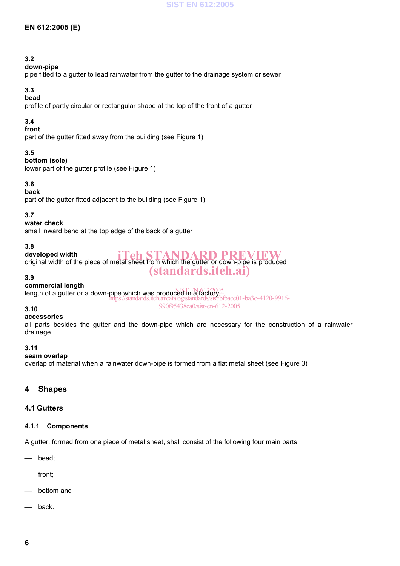#### **EN 612:2005 (E)**

#### **3.2**

#### **down-pipe**

pipe fitted to a gutter to lead rainwater from the gutter to the drainage system or sewer

#### **3.3**

#### **bead**

profile of partly circular or rectangular shape at the top of the front of a gutter

#### **3.4**

#### **front**

part of the gutter fitted away from the building (see Figure 1)

#### **3.5**

#### **bottom (sole)**

lower part of the gutter profile (see Figure 1)

#### **3.6**

#### **back**

part of the gutter fitted adjacent to the building (see Figure 1)

#### **3.7**

#### **water check**

small inward bend at the top edge of the back of a gutter

#### **3.8**

#### **developed width**  original width of the piece of metal sheet from which the gutter or down-pipe is produced iTeh STANDARD PREVIEW (standards.iteh.ai)

#### **3.9**

#### **commercial length**

**Sommerold length**<br>length of a gutter or a down-pipe which was produced in a factory https://standards.iteh.ai/catalog/standards/sist/bfbaec01-ba3e-4120-9916- 990f95438ca0/sist-en-612-2005

#### **3.10**

#### **accessories**

all parts besides the gutter and the down-pipe which are necessary for the construction of a rainwater drainage

#### **3.11**

#### **seam overlap**

overlap of material when a rainwater down-pipe is formed from a flat metal sheet (see Figure 3)

#### **4 Shapes**

#### **4.1 Gutters**

#### **4.1.1 Components**

A gutter, formed from one piece of metal sheet, shall consist of the following four main parts:

- bead;
- front;
- bottom and
- back.